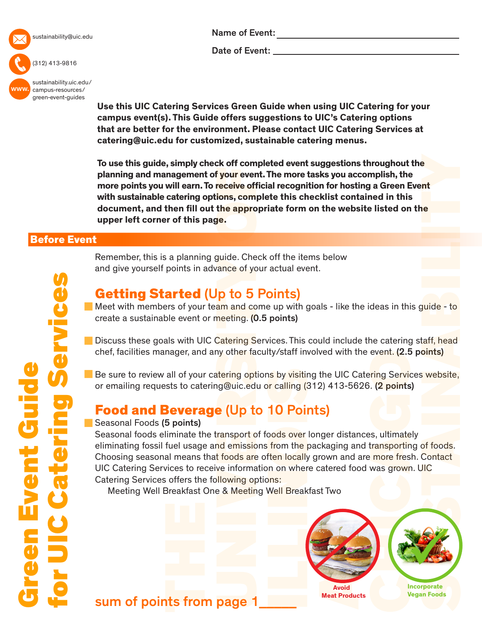

sustainability@uic.edu

#### (312) 413-9816

www. [sustainability.uic.edu/](sustainability.uic.edu/campus-resources/green-event-guides) campus-resources/ green-event-guides

Name of Event:

Date of Event:

**Use this UIC Catering Services Green Guide when using UIC Catering for your campus event(s). This Guide offers suggestions to UIC's Catering options that are better for the environment. Please contact UIC Catering Services at catering@uic.edu for customized, sustainable catering menus.** 

**To use this guide, simply check off completed event suggestions throughout the planning and management of your event. The more tasks you accomplish, the more points you will earn. To receive official recognition for hosting a Green Event with sustainable catering options, complete this checklist contained in this document, and then fill out the appropriate form on the website listed on the upper left corner of this page.**

### Before Event

# Getting Started (Up to 5 Points)

and give yourself points in advance of your actual event.

Remember, this is a planning guide. Check off the items below

Meet with members of your team and come up with goals - like the ideas in this guide - to create a sustainable event or meeting. (0.5 points)

- Discuss these goals with UIC Catering Services. This could include the catering staff, head chef, facilities manager, and any other faculty/staff involved with the event. (2.5 points)
- Be sure to review all of your catering options by visiting the UIC Catering Services website, or emailing requests to catering@uic.edu or calling (312) 413-5626. (2 points)

# Food and Beverage (Up to 10 Points)

#### Seasonal Foods (5 points)

Seasonal foods eliminate the transport of foods over longer distances, ultimately eliminating fossil fuel usage and emissions from the packaging and transporting of foods. Choosing seasonal means that foods are often locally grown and are more fresh. Contact UIC Catering Services to receive information on where catered food was grown. UIC Catering Services offers the following options:

Meeting Well Breakfast One & Meeting Well Breakfast Two



## sum of points from page 1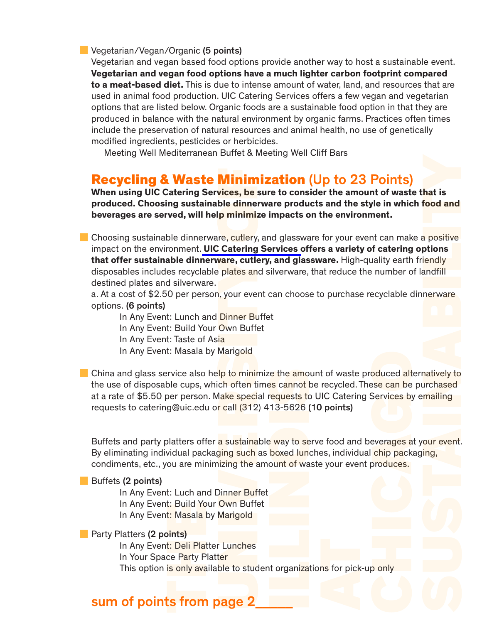**Vegetarian/Vegan/Organic (5 points)** 

Vegetarian and vegan based food options provide another way to host a sustainable event. **Vegetarian and vegan food options have a much lighter carbon footprint compared to a meat-based diet.** This is due to intense amount of water, land, and resources that are used in animal food production. UIC Catering Services offers a few vegan and vegetarian options that are listed below. Organic foods are a sustainable food option in that they are produced in balance with the natural environment by organic farms. Practices often times include the preservation of natural resources and animal health, no use of genetically modified ingredients, pesticides or herbicides.

Meeting Well Mediterranean Buffet & Meeting Well Cliff Bars

### Recycling & Waste Minimization (Up to 23 Points)

**When using UIC Catering Services, be sure to consider the amount of waste that is produced. Choosing sustainable dinnerware products and the style in which food and beverages are served, will help minimize impacts on the environment.**

Choosing sustainable dinnerware, cutlery, and glassware for your event can make a positive impact on the environment. **[UIC Catering Services o](http://www.uic.edu/depts/dining/catering.shtml)ffers a variety of catering options that offer sustainable dinnerware, cutlery, and glassware.** High-quality earth friendly disposables includes recyclable plates and silverware, that reduce the number of landfill destined plates and silverware. **hat is<br>food and<br>a positive**<br>ptions<br>iendly<br>andfill<br>nerware<br>mailing<br>our event.<br>ing,<br> $\frac{1}{2}$ 

a. At a cost of \$2.50 per person, your event can choose to purchase recyclable dinnerware options. (6 points)

In Any Event: Lunch and Dinner Buffet

In Any Event: Build Your Own Buffet

In Any Event: Taste of Asia

In Any Event: Masala by Marigold

China and glass service also help to minimize the amount of waste produced alternatively to the use of disposable cups, which often times cannot be recycled. These can be purchased at a rate of \$5.50 per person. Make special requests to UIC Catering Services by emailing requests to catering@uic.edu or call (312) 413-5626 (10 points)

Buffets and party platters offer a sustainable way to serve food and beverages at your event. By eliminating individual packaging such as boxed lunches, individual chip packaging, condiments, etc., you are minimizing the amount of waste your event produces.

#### Buffets (2 points)

In Any Event: Luch and Dinner Buffet In Any Event: Build Your Own Buffet In Any Event: Masala by Marigold

**Party Platters (2 points)** 

In Any Event: Deli Platter Lunches

In Your Space Party Platter

This option is only available to student organizations for pick-up only

### sum of points from page 2